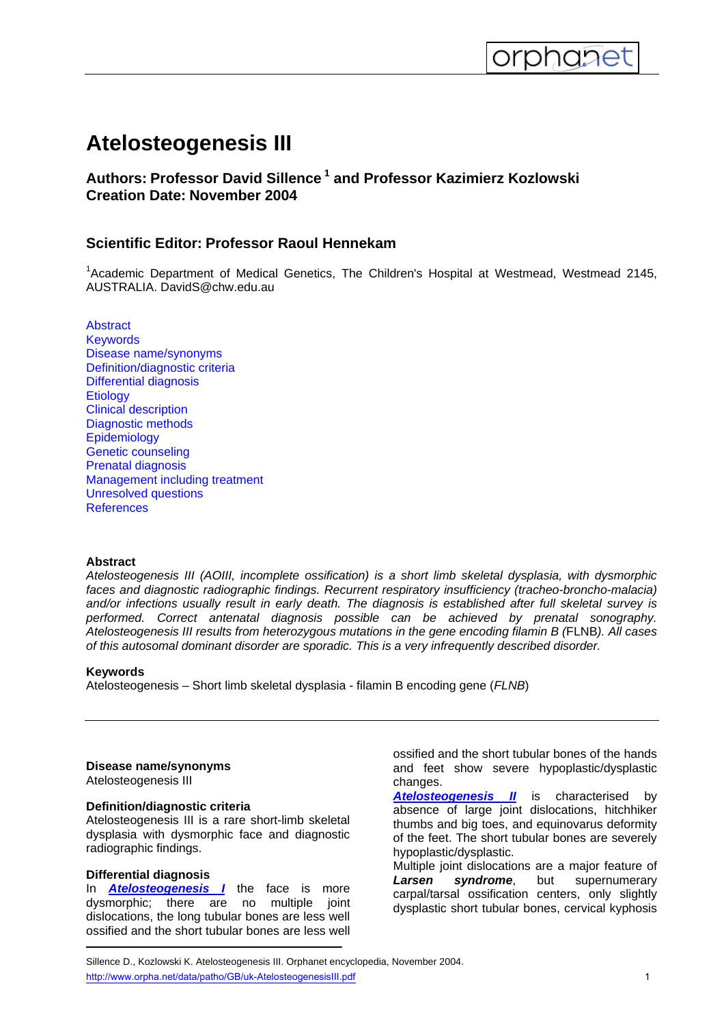# **Atelosteogenesis III**

<span id="page-0-0"></span>

# **Authors: Professor David Sillence 1 and Professor Kazimierz Kozlowski Creation Date: November 2004**

# **Scientific Editor: Professor Raoul Hennekam**

<sup>1</sup>Academic Department of Medical Genetics, The Children's Hospital at Westmead, Westmead 2145, AUSTRALIA. DavidS@chw.edu.au

**[Abstract](#page-0-0) [Keywords](#page-0-0)** [Disease name/synonyms](#page-0-0) [Definition/diagnostic criteria](#page-0-0) [Differential diagnosis](#page-0-0) **[Etiology](#page-1-0)** [Clinical description](#page-1-0) [Diagnostic methods](#page-1-0) **[Epidemiology](#page-1-0)** [Genetic counseling](#page-1-0) [Prenatal diagnosis](#page-1-0) [Management including treatment](#page-1-0) [Unresolved questions](#page-1-0) **[References](#page-1-0)** 

#### **Abstract**

*Atelosteogenesis III (AOIII, incomplete ossification) is a short limb skeletal dysplasia, with dysmorphic faces and diagnostic radiographic findings. Recurrent respiratory insufficiency (tracheo-broncho-malacia) and/or infections usually result in early death. The diagnosis is established after full skeletal survey is performed. Correct antenatal diagnosis possible can be achieved by prenatal sonography. Atelosteogenesis III results from heterozygous mutations in the gene encoding filamin B (*FLNB*). All cases of this autosomal dominant disorder are sporadic. This is a very infrequently described disorder.* 

#### **Keywords**

Atelosteogenesis – Short limb skeletal dysplasia - filamin B encoding gene (*FLNB*)

#### **Disease name/synonyms**

Atelosteogenesis III

# **Definition/diagnostic criteria**

Atelosteogenesis III is a rare short-limb skeletal dysplasia with dysmorphic face and diagnostic radiographic findings.

# **Differential diagnosis**

In *[Atelosteogenesis I](http://www.orpha.net//consor/cgi-bin/OC_Exp.php?Lng=GB&Expert=1190)* the face is more dysmorphic; there are no multiple joint dislocations, the long tubular bones are less well ossified and the short tubular bones are less well ossified and the short tubular bones of the hands and feet show severe hypoplastic/dysplastic changes.

**[Atelosteogenesis II](http://www.orpha.net/data/patho/GB/uk-AtelosteogenesisII.pdf)** is characterised by absence of large joint dislocations, hitchhiker thumbs and big toes, and equinovarus deformity of the feet. The short tubular bones are severely hypoplastic/dysplastic.

Multiple joint dislocations are a major feature of *Larsen syndrome*, but supernumerary carpal/tarsal ossification centers, only slightly dysplastic short tubular bones, cervical kyphosis

Sillence D., Kozlowski K. Atelosteogenesis III. Orphanet encyclopedia, November 2004. http://www.orpha.net/data/patho/GB/uk-AtelosteogenesisIII.pdf 1